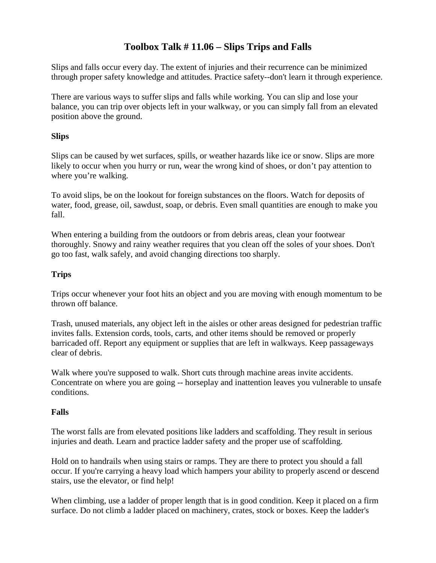## **Toolbox Talk # 11.06 – Slips Trips and Falls**

Slips and falls occur every day. The extent of injuries and their recurrence can be minimized through proper safety knowledge and attitudes. Practice safety--don't learn it through experience.

There are various ways to suffer slips and falls while working. You can slip and lose your balance, you can trip over objects left in your walkway, or you can simply fall from an elevated position above the ground.

### **Slips**

Slips can be caused by wet surfaces, spills, or weather hazards like ice or snow. Slips are more likely to occur when you hurry or run, wear the wrong kind of shoes, or don't pay attention to where you're walking.

To avoid slips, be on the lookout for foreign substances on the floors. Watch for deposits of water, food, grease, oil, sawdust, soap, or debris. Even small quantities are enough to make you fall.

When entering a building from the outdoors or from debris areas, clean your footwear thoroughly. Snowy and rainy weather requires that you clean off the soles of your shoes. Don't go too fast, walk safely, and avoid changing directions too sharply.

### **Trips**

Trips occur whenever your foot hits an object and you are moving with enough momentum to be thrown off balance.

Trash, unused materials, any object left in the aisles or other areas designed for pedestrian traffic invites falls. Extension cords, tools, carts, and other items should be removed or properly barricaded off. Report any equipment or supplies that are left in walkways. Keep passageways clear of debris.

Walk where you're supposed to walk. Short cuts through machine areas invite accidents. Concentrate on where you are going -- horseplay and inattention leaves you vulnerable to unsafe conditions.

#### **Falls**

The worst falls are from elevated positions like ladders and scaffolding. They result in serious injuries and death. Learn and practice ladder safety and the proper use of scaffolding.

Hold on to handrails when using stairs or ramps. They are there to protect you should a fall occur. If you're carrying a heavy load which hampers your ability to properly ascend or descend stairs, use the elevator, or find help!

When climbing, use a ladder of proper length that is in good condition. Keep it placed on a firm surface. Do not climb a ladder placed on machinery, crates, stock or boxes. Keep the ladder's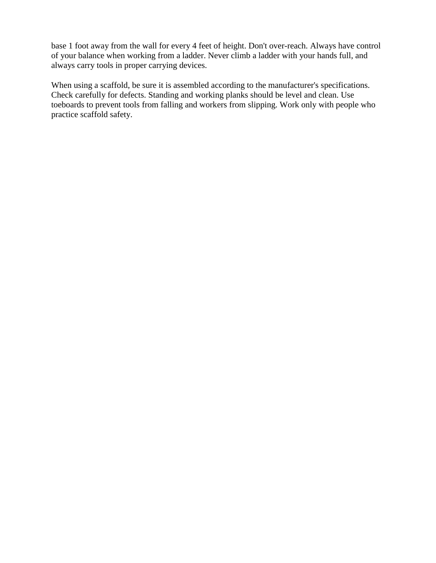base 1 foot away from the wall for every 4 feet of height. Don't over-reach. Always have control of your balance when working from a ladder. Never climb a ladder with your hands full, and always carry tools in proper carrying devices.

When using a scaffold, be sure it is assembled according to the manufacturer's specifications. Check carefully for defects. Standing and working planks should be level and clean. Use toeboards to prevent tools from falling and workers from slipping. Work only with people who practice scaffold safety.